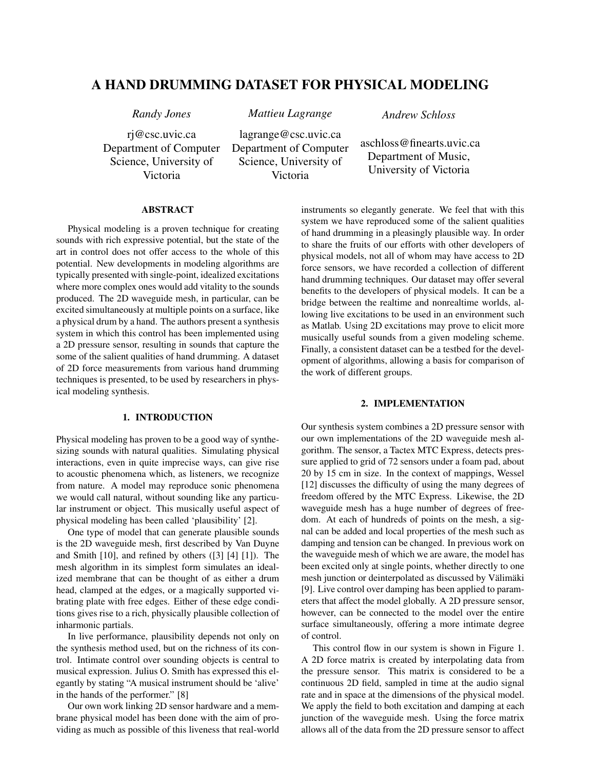# A HAND DRUMMING DATASET FOR PHYSICAL MODELING

*Randy Jones Mattieu Lagrange Andrew Schloss*

Victoria

rj@csc.uvic.ca Department of Computer Science, University of

lagrange@csc.uvic.ca Department of Computer Science, University of Victoria

aschloss@finearts.uvic.ca Department of Music, University of Victoria

## ABSTRACT

Physical modeling is a proven technique for creating sounds with rich expressive potential, but the state of the art in control does not offer access to the whole of this potential. New developments in modeling algorithms are typically presented with single-point, idealized excitations where more complex ones would add vitality to the sounds produced. The 2D waveguide mesh, in particular, can be excited simultaneously at multiple points on a surface, like a physical drum by a hand. The authors present a synthesis system in which this control has been implemented using a 2D pressure sensor, resulting in sounds that capture the some of the salient qualities of hand drumming. A dataset of 2D force measurements from various hand drumming techniques is presented, to be used by researchers in physical modeling synthesis.

### 1. INTRODUCTION

Physical modeling has proven to be a good way of synthesizing sounds with natural qualities. Simulating physical interactions, even in quite imprecise ways, can give rise to acoustic phenomena which, as listeners, we recognize from nature. A model may reproduce sonic phenomena we would call natural, without sounding like any particular instrument or object. This musically useful aspect of physical modeling has been called 'plausibility' [2].

One type of model that can generate plausible sounds is the 2D waveguide mesh, first described by Van Duyne and Smith [10], and refined by others ([3] [4] [1]). The mesh algorithm in its simplest form simulates an idealized membrane that can be thought of as either a drum head, clamped at the edges, or a magically supported vibrating plate with free edges. Either of these edge conditions gives rise to a rich, physically plausible collection of inharmonic partials.

In live performance, plausibility depends not only on the synthesis method used, but on the richness of its control. Intimate control over sounding objects is central to musical expression. Julius O. Smith has expressed this elegantly by stating "A musical instrument should be 'alive' in the hands of the performer." [8]

Our own work linking 2D sensor hardware and a membrane physical model has been done with the aim of providing as much as possible of this liveness that real-world instruments so elegantly generate. We feel that with this system we have reproduced some of the salient qualities of hand drumming in a pleasingly plausible way. In order to share the fruits of our efforts with other developers of physical models, not all of whom may have access to 2D force sensors, we have recorded a collection of different hand drumming techniques. Our dataset may offer several benefits to the developers of physical models. It can be a bridge between the realtime and nonrealtime worlds, allowing live excitations to be used in an environment such as Matlab. Using 2D excitations may prove to elicit more musically useful sounds from a given modeling scheme. Finally, a consistent dataset can be a testbed for the development of algorithms, allowing a basis for comparison of the work of different groups.

## 2. IMPLEMENTATION

Our synthesis system combines a 2D pressure sensor with our own implementations of the 2D waveguide mesh algorithm. The sensor, a Tactex MTC Express, detects pressure applied to grid of 72 sensors under a foam pad, about 20 by 15 cm in size. In the context of mappings, Wessel [12] discusses the difficulty of using the many degrees of freedom offered by the MTC Express. Likewise, the 2D waveguide mesh has a huge number of degrees of freedom. At each of hundreds of points on the mesh, a signal can be added and local properties of the mesh such as damping and tension can be changed. In previous work on the waveguide mesh of which we are aware, the model has been excited only at single points, whether directly to one mesh junction or deinterpolated as discussed by Välimäki [9]. Live control over damping has been applied to parameters that affect the model globally. A 2D pressure sensor, however, can be connected to the model over the entire surface simultaneously, offering a more intimate degree of control.

This control flow in our system is shown in Figure 1. A 2D force matrix is created by interpolating data from the pressure sensor. This matrix is considered to be a continuous 2D field, sampled in time at the audio signal rate and in space at the dimensions of the physical model. We apply the field to both excitation and damping at each junction of the waveguide mesh. Using the force matrix allows all of the data from the 2D pressure sensor to affect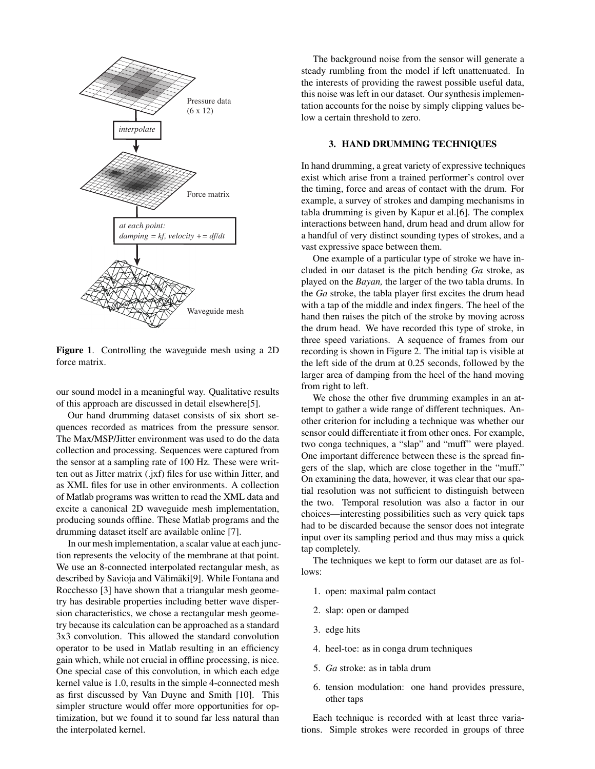

Figure 1. Controlling the waveguide mesh using a 2D force matrix.

our sound model in a meaningful way. Qualitative results of this approach are discussed in detail elsewhere[5].

Our hand drumming dataset consists of six short sequences recorded as matrices from the pressure sensor. The Max/MSP/Jitter environment was used to do the data collection and processing. Sequences were captured from the sensor at a sampling rate of 100 Hz. These were written out as Jitter matrix (.jxf) files for use within Jitter, and as XML files for use in other environments. A collection of Matlab programs was written to read the XML data and excite a canonical 2D waveguide mesh implementation, producing sounds offline. These Matlab programs and the drumming dataset itself are available online [7].

In our mesh implementation, a scalar value at each junction represents the velocity of the membrane at that point. We use an 8-connected interpolated rectangular mesh, as described by Savioja and Välimäki<sup>[9]</sup>. While Fontana and Rocchesso [3] have shown that a triangular mesh geometry has desirable properties including better wave dispersion characteristics, we chose a rectangular mesh geometry because its calculation can be approached as a standard 3x3 convolution. This allowed the standard convolution operator to be used in Matlab resulting in an efficiency gain which, while not crucial in offline processing, is nice. One special case of this convolution, in which each edge kernel value is 1.0, results in the simple 4-connected mesh as first discussed by Van Duyne and Smith [10]. This simpler structure would offer more opportunities for optimization, but we found it to sound far less natural than the interpolated kernel.

The background noise from the sensor will generate a steady rumbling from the model if left unattenuated. In the interests of providing the rawest possible useful data, this noise was left in our dataset. Our synthesis implementation accounts for the noise by simply clipping values below a certain threshold to zero.

# 3. HAND DRUMMING TECHNIQUES

In hand drumming, a great variety of expressive techniques exist which arise from a trained performer's control over the timing, force and areas of contact with the drum. For example, a survey of strokes and damping mechanisms in tabla drumming is given by Kapur et al.[6]. The complex interactions between hand, drum head and drum allow for a handful of very distinct sounding types of strokes, and a vast expressive space between them.

One example of a particular type of stroke we have included in our dataset is the pitch bending *Ga* stroke, as played on the *Bayan,* the larger of the two tabla drums. In the *Ga* stroke, the tabla player first excites the drum head with a tap of the middle and index fingers. The heel of the hand then raises the pitch of the stroke by moving across the drum head. We have recorded this type of stroke, in three speed variations. A sequence of frames from our recording is shown in Figure 2. The initial tap is visible at the left side of the drum at 0.25 seconds, followed by the larger area of damping from the heel of the hand moving from right to left.

We chose the other five drumming examples in an attempt to gather a wide range of different techniques. Another criterion for including a technique was whether our sensor could differentiate it from other ones. For example, two conga techniques, a "slap" and "muff" were played. One important difference between these is the spread fingers of the slap, which are close together in the "muff." On examining the data, however, it was clear that our spatial resolution was not sufficient to distinguish between the two. Temporal resolution was also a factor in our choices—interesting possibilities such as very quick taps had to be discarded because the sensor does not integrate input over its sampling period and thus may miss a quick tap completely.

The techniques we kept to form our dataset are as follows:

- 1. open: maximal palm contact
- 2. slap: open or damped
- 3. edge hits
- 4. heel-toe: as in conga drum techniques
- 5. *Ga* stroke: as in tabla drum
- 6. tension modulation: one hand provides pressure, other taps

Each technique is recorded with at least three variations. Simple strokes were recorded in groups of three